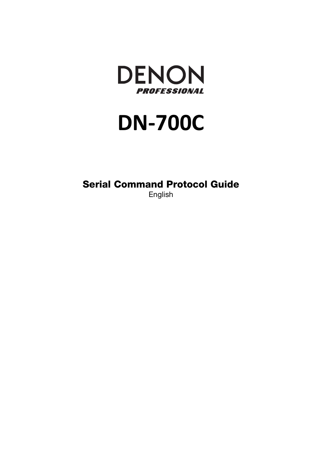

# **DN-700C**

**Serial Command Protocol Guide** 

English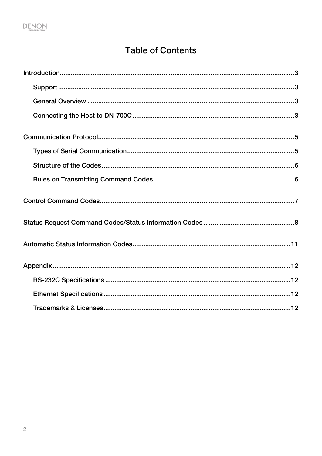## **Table of Contents**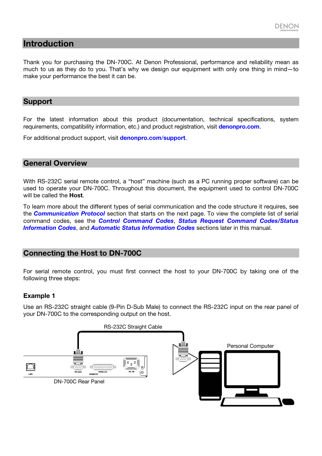

#### <span id="page-2-0"></span>**Introduction**

Thank you for purchasing the DN-700C. At Denon Professional, performance and reliability mean as much to us as they do to you. That's why we design our equipment with only one thing in mind—to make your performance the best it can be.

#### **Support**

For the latest information about this product (documentation, technical specifications, system requirements, compatibility information, etc.) and product registration, visit **[denonpro.com](http://www.denonpro.com)**.

For additional product support, visit **[denonpro.com](http://www.denonpro.com/support)**/**support**.

#### **General Overview**

With RS-232C serial remote control, a "host" machine (such as a PC running proper software) can be used to operate your DN-700C. Throughout this document, the equipment used to control DN-700C will be called the **Host**.

To l[earn more about the differe](#page-4-0)nt types of serial communication and the code structure it requires, see the *Communication Protocol* [section that starts on the](#page-6-0) [next page. To view the complete list of serial](#page-7-0) [command codes, s](#page-7-0)ee the *[Control Command Codes](#page-10-0)*, *Status Request Command Codes/Status Information Codes*, and *Automatic Status Information Codes* sections later in this manual.

#### **Connecting the Host to DN-700C**

For serial remote control, you must first connect the host to your DN-700C by taking one of the following three steps:

#### **Example 1**

Use an RS-232C straight cable (9-Pin D-Sub Male) to connect the RS-232C input on the rear panel of your DN-700C to the corresponding output on the host.

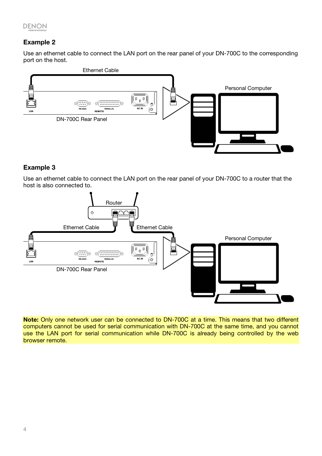#### **Example 2**

Use an ethernet cable to connect the LAN port on the rear panel of your DN-700C to the corresponding port on the host.



#### **Example 3**

Use an ethernet cable to connect the LAN port on the rear panel of your DN-700C to a router that the host is also connected to.



**Note:** Only one network user can be connected to DN-700C at a time. This means that two different computers cannot be used for serial communication with DN-700C at the same time, and you cannot use the LAN port for serial communication while DN-700C is already being controlled by the web browser remote.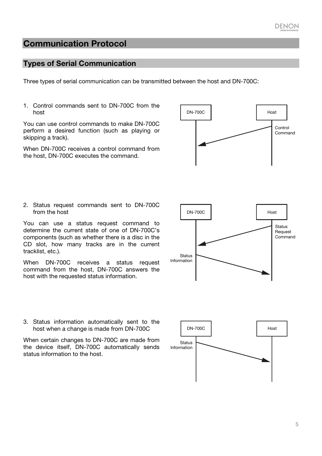5

## <span id="page-4-0"></span>**Communication Protocol**

#### **Types of Serial Communication**

Three types of serial communication can be transmitted between the host and DN-700C:

1. Control commands sent to DN-700C from the host

You can use control commands to make DN-700C perform a desired function (such as playing or skipping a track).

When DN-700C receives a control command from the host, DN-700C executes the command.

2. Status request commands sent to DN-700C from the host

You can use a status request command to determine the current state of one of DN-700C's components (such as whether there is a disc in the CD slot, how many tracks are in the current tracklist, etc.).

When DN-700C receives a status request command from the host, DN-700C answers the host with the requested status information.



When certain changes to DN-700C are made from the device itself, DN-700C automatically sends status information to the host.





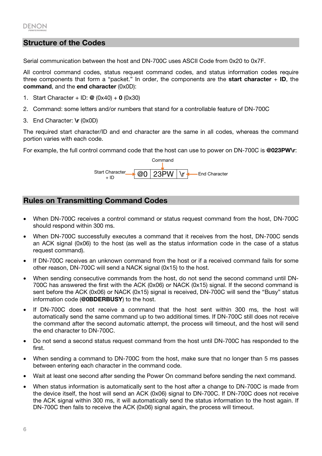#### <span id="page-5-0"></span>**Structure of the Codes**

Serial communication between the host and DN-700C uses ASCII Code from 0x20 to 0x7F.

All control command codes, status request command codes, and status information codes require three components that form a "packet." In order, the components are the **start character** + **ID**, the **command**, and the **end character** (0x0D):

- 1. Start Character + ID: **@** (0x40) + **0** (0x30)
- 2. Command: some letters and/or numbers that stand for a controllable feature of DN-700C
- 3. End Character: **\r** (0x0D)

The required start character/ID and end character are the same in all codes, whereas the command portion varies with each code.

For example, the full control command code that the host can use to power on DN-700C is **@023PW\r**:



#### **Rules on Transmitting Command Codes**

- When DN-700C receives a control command or status request command from the host, DN-700C should respond within 300 ms.
- When DN-700C successfully executes a command that it receives from the host, DN-700C sends an ACK signal (0x06) to the host (as well as the status information code in the case of a status request command).
- If DN-700C receives an unknown command from the host or if a received command fails for some other reason, DN-700C will send a NACK signal (0x15) to the host.
- When sending consecutive commands from the host, do not send the second command until DN-700C has answered the first with the ACK (0x06) or NACK (0x15) signal. If the second command is sent before the ACK (0x06) or NACK (0x15) signal is received, DN-700C will send the "Busy" status information code (**@0BDERBUSY**) to the host.
- If DN-700C does not receive a command that the host sent within 300 ms, the host will automatically send the same command up to two additional times. If DN-700C still does not receive the command after the second automatic attempt, the process will timeout, and the host will send the end character to DN-700C.
- Do not send a second status request command from the host until DN-700C has responded to the first.
- When sending a command to DN-700C from the host, make sure that no longer than 5 ms passes between entering each character in the command code.
- Wait at least one second after sending the Power On command before sending the next command.
- When status information is automatically sent to the host after a change to DN-700C is made from the device itself, the host will send an ACK (0x06) signal to DN-700C. If DN-700C does not receive the ACK signal within 300 ms, it will automatically send the status information to the host again. If DN-700C then fails to receive the ACK (0x06) signal again, the process will timeout.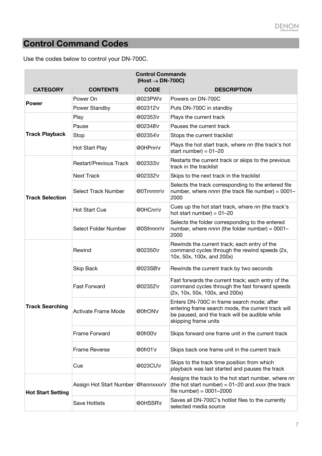## <span id="page-6-0"></span>**Control Command Codes**

| <b>Control Commands</b><br>$(Host \rightarrow DN-700C)$ |                                     |             |                                                                                                                                                                            |  |
|---------------------------------------------------------|-------------------------------------|-------------|----------------------------------------------------------------------------------------------------------------------------------------------------------------------------|--|
| <b>CATEGORY</b>                                         | <b>CONTENTS</b>                     | <b>CODE</b> | <b>DESCRIPTION</b>                                                                                                                                                         |  |
| <b>Power</b>                                            | Power On                            | @023PW\r    | Powers on DN-700C                                                                                                                                                          |  |
|                                                         | Power Standby                       | @02312\r    | Puts DN-700C in standby                                                                                                                                                    |  |
|                                                         | Play                                | @02353\r    | Plays the current track                                                                                                                                                    |  |
|                                                         | Pause                               | @02348\r    | Pauses the current track                                                                                                                                                   |  |
| <b>Track Playback</b>                                   | Stop                                | @02354\r    | Stops the current tracklist                                                                                                                                                |  |
|                                                         | Hot Start Play                      | @0HPnn\r    | Plays the hot start track, where nn (the track's hot<br>start number) = $01-20$                                                                                            |  |
|                                                         | <b>Restart/Previous Track</b>       | @02333\r    | Restarts the current track or skips to the previous<br>track in the tracklist                                                                                              |  |
|                                                         | <b>Next Track</b>                   | @02332\r    | Skips to the next track in the tracklist                                                                                                                                   |  |
| <b>Track Selection</b>                                  | <b>Select Track Number</b>          | @0Trnnnn\r  | Selects the track corresponding to the entered file<br>number, where $nnnn$ (the track file number) = 0001-<br>2000                                                        |  |
|                                                         | <b>Hot Start Cue</b>                | @0HCnn\r    | Cues up the hot start track, where nn (the track's<br>hot start number) = $01-20$                                                                                          |  |
|                                                         | Select Folder Number                | @0Sfnnnn\r  | Selects the folder corresponding to the entered<br>number, where nnnn (the folder number) = 0001-<br>2000                                                                  |  |
|                                                         | Rewind                              | @02350\r    | Rewinds the current track; each entry of the<br>command cycles through the rewind speeds (2x,<br>10x, 50x, 100x, and 200x)                                                 |  |
|                                                         | Skip Back                           | @023SB\r    | Rewinds the current track by two seconds                                                                                                                                   |  |
| <b>Track Searching</b>                                  | <b>Fast Forward</b>                 | @02352\r    | Fast forwards the current track; each entry of the<br>command cycles through the fast forward speeds<br>(2x, 10x, 50x, 100x, and 200x)                                     |  |
|                                                         | Activate Frame Mode                 | @0frON\r    | Enters DN-700C in frame search mode; after<br>entering frame search mode, the current track will<br>be paused, and the track will be audible while<br>skipping frame units |  |
|                                                         | <b>Frame Forward</b>                | @0fr00\r    | Skips forward one frame unit in the current track                                                                                                                          |  |
|                                                         | Frame Reverse                       | @0fr01\r    | Skips back one frame unit in the current track                                                                                                                             |  |
|                                                         | Cue                                 | @023CU\r    | Skips to the track time position from which<br>playback was last started and pauses the track                                                                              |  |
| <b>Hot Start Setting</b>                                | Assign Hot Start Number @hsnnxxxx\r |             | Assigns the track to the hot start number, where nn<br>(the hot start number) = $01-20$ and xxxx (the track<br>file number) = $0001 - 2000$                                |  |
|                                                         | <b>Save Hotlists</b>                | @0HSSR\r    | Saves all DN-700C's hotlist files to the currently<br>selected media source                                                                                                |  |

Use the codes below to control your DN-700C.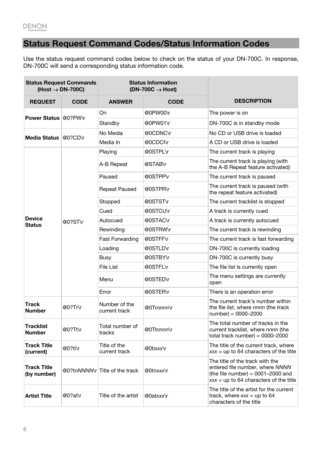## <span id="page-7-0"></span>**Status Request Command Codes/Status Information Codes**

Use the status request command codes below to check on the status of your DN-700C. In response, DN-700C will send a corresponding status information code.

| <b>Status Request Commands</b><br>$(Host \rightarrow DN-700C)$ |             | <b>Status Information</b><br>$(DN-700C \rightarrow Host)$ |             |                                                                                                                                                       |
|----------------------------------------------------------------|-------------|-----------------------------------------------------------|-------------|-------------------------------------------------------------------------------------------------------------------------------------------------------|
| <b>REQUEST</b>                                                 | <b>CODE</b> | <b>ANSWER</b>                                             | <b>CODE</b> | <b>DESCRIPTION</b>                                                                                                                                    |
| <b>Power Status @0?PW\r</b>                                    |             | On                                                        | @0PW00\r    | The power is on                                                                                                                                       |
|                                                                |             | Standby                                                   | @0PW01\r    | DN-700C is in standby mode                                                                                                                            |
| <b>Media Status</b>                                            | @0?CD\r     | No Media                                                  | @0CDNC\r    | No CD or USB drive is loaded                                                                                                                          |
|                                                                |             | Media In                                                  | @0CDCI\r    | A CD or USB drive is loaded                                                                                                                           |
|                                                                |             | Playing                                                   | @0STPL\r    | The current track is playing                                                                                                                          |
|                                                                |             | A-B Repeat                                                | @STAB\r     | The current track is playing (with<br>the A-B Repeat feature activated)                                                                               |
|                                                                |             | Paused                                                    | @0STPP\r    | The current track is paused                                                                                                                           |
|                                                                |             | <b>Repeat Paused</b>                                      | @0STPR\r    | The current track is paused (with<br>the repeat feature activated)                                                                                    |
|                                                                |             | Stopped                                                   | @0STST\r    | The current tracklist is stopped                                                                                                                      |
|                                                                |             | Cued                                                      | @0STCU\r    | A track is currently cued                                                                                                                             |
| <b>Device</b><br><b>Status</b>                                 | @0?ST\r     | Autocued                                                  | @0STAC\r    | A track is currently autocued                                                                                                                         |
|                                                                |             | Rewinding                                                 | @0STRW\r    | The current track is rewinding                                                                                                                        |
|                                                                |             | <b>Fast Forwarding</b>                                    | @0STFF\r    | The current track is fast forwarding                                                                                                                  |
|                                                                |             | Loading                                                   | @0STLD\r    | DN-700C is currently loading                                                                                                                          |
|                                                                |             | <b>Busy</b>                                               | @0STBY\r    | DN-700C is currently busy                                                                                                                             |
|                                                                |             | File List                                                 | @0STFL\r    | The file list is currently open                                                                                                                       |
|                                                                |             | Menu                                                      | @0STED\r    | The menu settings are currently<br>open                                                                                                               |
|                                                                |             | Error                                                     | @0STER\r    | There is an operation error                                                                                                                           |
| <b>Track</b><br><b>Number</b>                                  | @0?Tr\r     | Number of the<br>current track                            | @0Trnnnn\r  | The current track's number within<br>the file list, where nnnn (the track<br>$number) = 0000 - 2000$                                                  |
| <b>Tracklist</b><br><b>Number</b>                              | @0?Tt\r     | Total number of<br>tracks                                 | @0Ttnnnn\r  | The total number of tracks in the<br>current tracklist, where nnnn (the<br>total track number) = $0000-2000$                                          |
| <b>Track Title</b><br>(current)                                | @0?ti\r     | Title of the<br>current track                             | @0tixxx\r   | The title of the current track, where<br>$xxx =$ up to 64 characters of the title                                                                     |
| <b>Track Title</b><br>(by number)                              |             | @0?tnNNNN\r Title of the track                            | @0tnxxx\r   | The title of the track with the<br>entered file number, where NNNN<br>(the file number) = $0001-2000$ and<br>$xxx =$ up to 64 characters of the title |
| <b>Artist Title</b>                                            | @0?at\r     | Title of the artist                                       | @0atxxx\r   | The title of the artist for the current<br>track, where $xxx =$ up to 64<br>characters of the title                                                   |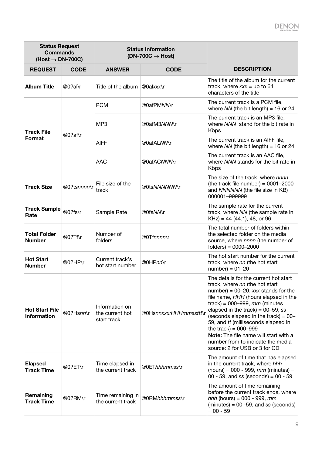## **DENON**

| <b>Status Request</b><br><b>Commands</b><br>$(Host \rightarrow DN-700C)$ |             | <b>Status Information</b><br>$(DN-700C \rightarrow Host)$ |                        |                                                                                                                                                                                                                                                                                                                                                                                                                                                                 |
|--------------------------------------------------------------------------|-------------|-----------------------------------------------------------|------------------------|-----------------------------------------------------------------------------------------------------------------------------------------------------------------------------------------------------------------------------------------------------------------------------------------------------------------------------------------------------------------------------------------------------------------------------------------------------------------|
| <b>REQUEST</b>                                                           | <b>CODE</b> | <b>ANSWER</b>                                             | <b>CODE</b>            | <b>DESCRIPTION</b>                                                                                                                                                                                                                                                                                                                                                                                                                                              |
| <b>Album Title</b>                                                       | $@0?al\$    | Title of the album $\mathcal{Q}$ Oalxxx\r                 |                        | The title of the album for the current<br>track, where $xxx =$ up to 64<br>characters of the title                                                                                                                                                                                                                                                                                                                                                              |
|                                                                          |             | <b>PCM</b>                                                | @0afPM/W\r             | The current track is a PCM file,<br>where $NN$ (the bit length) = 16 or 24                                                                                                                                                                                                                                                                                                                                                                                      |
| <b>Track File</b>                                                        |             | MP <sub>3</sub>                                           | @0afM3NNN\r            | The current track is an MP3 file,<br>where NNN stand for the bit rate in<br><b>Kbps</b>                                                                                                                                                                                                                                                                                                                                                                         |
| Format                                                                   | @0?af\r     | <b>AIFF</b>                                               | @0afALNN\r             | The current track is an AIFF file,<br>where $NN$ (the bit length) = 16 or 24                                                                                                                                                                                                                                                                                                                                                                                    |
|                                                                          |             | <b>AAC</b>                                                | @0afACNNN\r            | The current track is an AAC file,<br>where NNN stands for the bit rate in<br><b>Kbps</b>                                                                                                                                                                                                                                                                                                                                                                        |
| <b>Track Size</b>                                                        | @0?tsnnnn\r | File size of the<br>track                                 | @0tsNNNNNN\r           | The size of the track, where nnnn<br>(the track file number) = $0001-2000$<br>and $NNNNNN$ (the file size in $KB$ ) =<br>000001-999999                                                                                                                                                                                                                                                                                                                          |
| <b>Track Sample</b><br>Rate                                              | @0?fs\r     | Sample Rate                                               | @0fsNM\r               | The sample rate for the current<br>track, where NN (the sample rate in<br>$KHz$ ) = 44 (44.1), 48, or 96                                                                                                                                                                                                                                                                                                                                                        |
| <b>Total Folder</b><br><b>Number</b>                                     | @0?Tf\r     | Number of<br>folders                                      | @0Tfnnnn\r             | The total number of folders within<br>the selected folder on the media<br>source, where nnnn (the number of<br>$f$ olders $) = 0000 - 2000$                                                                                                                                                                                                                                                                                                                     |
| <b>Hot Start</b><br><b>Number</b>                                        | @0?HP\r     | Current track's<br>hot start number                       | @0HPnn\r               | The hot start number for the current<br>track, where nn (the hot start<br>$number$ ) = 01-20                                                                                                                                                                                                                                                                                                                                                                    |
| <b>Hot Start File</b><br><b>Information</b>                              | @0?Hsnn\r   | Information on<br>the current hot<br>start track          | @0Hsnnxxx:HHHmmssttt\r | The details for the current hot start<br>track, where nn (the hot start<br>number) = $00-20$ , xxx stands for the<br>file name, HHH (hours elapsed in the<br>track) = $000-999$ , mm (minutes<br>elapsed in the track) = $00-59$ , ss<br>(seconds elapsed in the track) = $00-$<br>59, and tt (milliseconds elapsed in<br>the track) = $000-999$<br>Note: The file name will start with a<br>number from to indicate the media<br>source: 2 for USB or 3 for CD |
| <b>Elapsed</b><br><b>Track Time</b>                                      | @0?ET\r     | Time elapsed in<br>the current track                      | @0EThhhmmss\r          | The amount of time that has elapsed<br>in the current track, where hhh<br>(hours) = 000 - 999, $mm$ (minutes) =<br>00 - 59, and ss (seconds) = $00 - 59$                                                                                                                                                                                                                                                                                                        |
| Remaining<br><b>Track Time</b>                                           | @0?RM\r     | Time remaining in<br>the current track                    | @0RMhhhmmss\r          | The amount of time remaining<br>before the current track ends, where<br><i>hhh</i> (hours) = 000 - 999, $mm$<br>$(minutes) = 00 - 59$ , and ss (seconds)<br>$= 00 - 59$                                                                                                                                                                                                                                                                                         |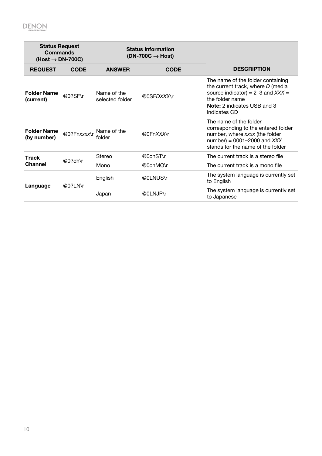| <b>Status Request</b><br><b>Commands</b><br>$(Host \rightarrow DN-700C)$ |             | <b>Status Information</b><br>$(DN-700C \rightarrow Host)$ |                                    |                                                                                                                                                                                          |
|--------------------------------------------------------------------------|-------------|-----------------------------------------------------------|------------------------------------|------------------------------------------------------------------------------------------------------------------------------------------------------------------------------------------|
| <b>REQUEST</b>                                                           | <b>CODE</b> | <b>ANSWER</b>                                             | <b>CODE</b>                        | <b>DESCRIPTION</b>                                                                                                                                                                       |
| <b>Folder Name</b><br>(current)                                          | @0?SF\r     | Name of the<br>selected folder                            | @0SFDXXX\r                         | The name of the folder containing<br>the current track, where D (media<br>source indicator) = $2-3$ and $XXX =$<br>the folder name<br><b>Note:</b> 2 indicates USB and 3<br>indicates CD |
| <b>Folder Name</b><br>(by number)                                        | @0?Fnxxxx\r | Name of the<br>folder                                     | @0FnXXX\r                          | The name of the folder<br>corresponding to the entered folder<br>number, where xxxx (the folder<br>number) = $0001-2000$ and $XXX$<br>stands for the name of the folder                  |
| <b>Track</b><br>@0?ch\r<br>Channel                                       | Stereo      | @0chST\r                                                  | The current track is a stereo file |                                                                                                                                                                                          |
|                                                                          |             | Mono                                                      | @0chMO\r                           | The current track is a mono file                                                                                                                                                         |
| Language                                                                 | @0?LN\r     | English                                                   | @0LNUS\r                           | The system language is currently set<br>to English                                                                                                                                       |
|                                                                          |             | Japan                                                     | @0LNJP\r                           | The system language is currently set<br>to Japanese                                                                                                                                      |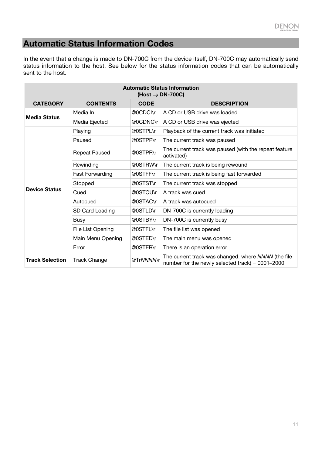## <span id="page-10-0"></span>**Automatic Status Information Codes**

In the event that a change is made to DN-700C from the device itself, DN-700C may automatically send status information to the host. See below for the status information codes that can be automatically sent to the host.

| <b>Automatic Status Information</b><br>$(Host \rightarrow DN-700C)$ |                        |             |                                                                                                           |  |
|---------------------------------------------------------------------|------------------------|-------------|-----------------------------------------------------------------------------------------------------------|--|
| <b>CATEGORY</b>                                                     | <b>CONTENTS</b>        | <b>CODE</b> | <b>DESCRIPTION</b>                                                                                        |  |
| <b>Media Status</b>                                                 | Media In               | @0CDCI\r    | A CD or USB drive was loaded                                                                              |  |
|                                                                     | Media Ejected          | @0CDNC\r    | A CD or USB drive was ejected                                                                             |  |
|                                                                     | Playing                | @0STPL\r    | Playback of the current track was initiated                                                               |  |
|                                                                     | Paused                 | @0STPP\r    | The current track was paused                                                                              |  |
|                                                                     | <b>Repeat Paused</b>   | @0STPR\r    | The current track was paused (with the repeat feature<br>activated)                                       |  |
|                                                                     | Rewinding              | @0STRW\r    | The current track is being rewound                                                                        |  |
|                                                                     | <b>Fast Forwarding</b> | @0STFF\r    | The current track is being fast forwarded                                                                 |  |
|                                                                     | Stopped                | @0STST\r    | The current track was stopped                                                                             |  |
| <b>Device Status</b>                                                | Cued                   | @0STCU\r    | A track was cued                                                                                          |  |
|                                                                     | Autocued               | @0STAC\r    | A track was autocued                                                                                      |  |
|                                                                     | SD Card Loading        | @0STLD\r    | DN-700C is currently loading                                                                              |  |
|                                                                     | <b>Busy</b>            | @0STBY\r    | DN-700C is currently busy                                                                                 |  |
|                                                                     | File List Opening      | @0STFL\r    | The file list was opened                                                                                  |  |
|                                                                     | Main Menu Opening      | @0STED\r    | The main menu was opened                                                                                  |  |
|                                                                     | Error                  | @0STER\r    | There is an operation error                                                                               |  |
| <b>Track Selection</b>                                              | <b>Track Change</b>    | @TrNNNNNr   | The current track was changed, where NNNN (the file<br>number for the newly selected track) = $0001-2000$ |  |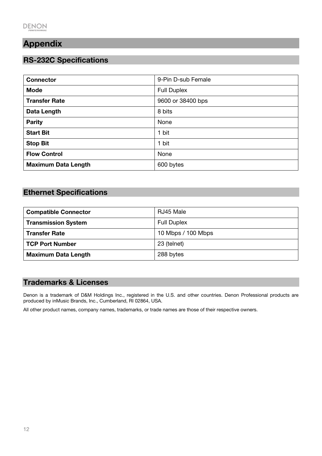## <span id="page-11-0"></span>**Appendix**

## **RS-232C Specifications**

| <b>Connector</b>           | 9-Pin D-sub Female |
|----------------------------|--------------------|
| <b>Mode</b>                | <b>Full Duplex</b> |
| <b>Transfer Rate</b>       | 9600 or 38400 bps  |
| Data Length                | 8 bits             |
| <b>Parity</b>              | None               |
| <b>Start Bit</b>           | 1 bit              |
| <b>Stop Bit</b>            | 1 bit              |
| <b>Flow Control</b>        | None               |
| <b>Maximum Data Length</b> | 600 bytes          |

## **Ethernet Specifications**

| <b>Compatible Connector</b> | RJ45 Male          |
|-----------------------------|--------------------|
| <b>Transmission System</b>  | <b>Full Duplex</b> |
| <b>Transfer Rate</b>        | 10 Mbps / 100 Mbps |
| TCP Port Number             | 23 (telnet)        |
| <b>Maximum Data Length</b>  | 288 bytes          |

## **Trademarks & Licenses**

Denon is a trademark of D&M Holdings Inc., registered in the U.S. and other countries. Denon Professional products are produced by inMusic Brands, Inc., Cumberland, RI 02864, USA.

All other product names, company names, trademarks, or trade names are those of their respective owners.